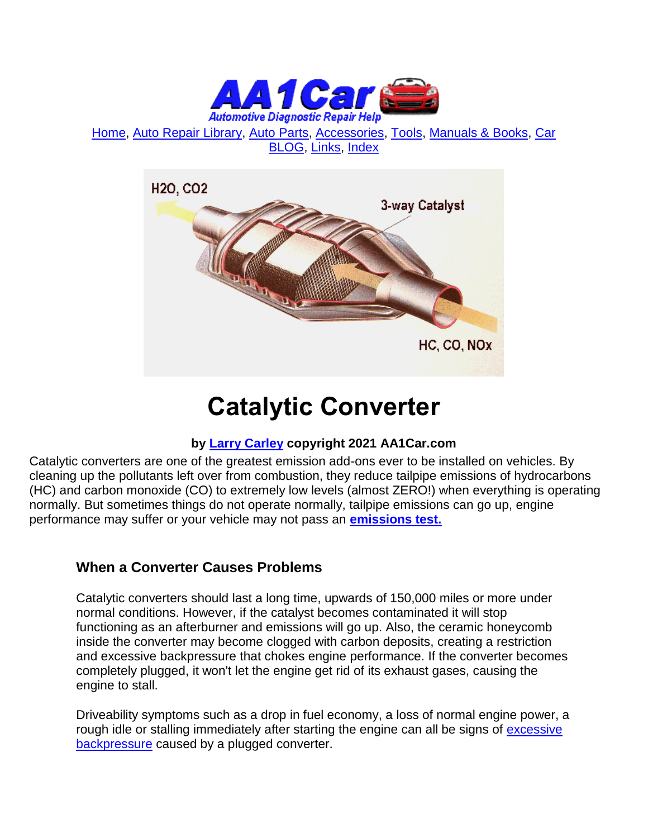

[Home,](http://www.aa1car.com/) [Auto Repair Library,](http://www.aa1car.com/library.htm) [Auto Parts,](http://www.aa1car.com/links_parts.htm) [Accessories,](http://www.aa1car.com/links_accessories.htm) [Tools,](http://www.aa1car.com/links_tools.htm) [Manuals & Books,](http://www.aa1car.com/links_books.htm) [Car](http://www.aa1car.com/blog/blog.htm)  [BLOG,](http://www.aa1car.com/blog/blog.htm) [Links,](http://www.aa1car.com/links.htm) [Index](http://www.aa1car.com/index_alphabetical.htm)



# **Catalytic Converter**

#### **by [Larry Carley](https://www.aa1car.com/larrypage/larrycarley_photos.htm) copyright 2021 AA1Car.com**

Catalytic converters are one of the greatest emission add-ons ever to be installed on vehicles. By cleaning up the pollutants left over from combustion, they reduce tailpipe emissions of hydrocarbons (HC) and carbon monoxide (CO) to extremely low levels (almost ZERO!) when everything is operating normally. But sometimes things do not operate normally, tailpipe emissions can go up, engine performance may suffer or your vehicle may not pass an **[emissions test.](http://www.aa1car.com/library/2000/ic60032.htm)**

#### **When a Converter Causes Problems**

Catalytic converters should last a long time, upwards of 150,000 miles or more under normal conditions. However, if the catalyst becomes contaminated it will stop functioning as an afterburner and emissions will go up. Also, the ceramic honeycomb inside the converter may become clogged with carbon deposits, creating a restriction and excessive backpressure that chokes engine performance. If the converter becomes completely plugged, it won't let the engine get rid of its exhaust gases, causing the engine to stall.

Driveability symptoms such as a drop in fuel economy, a loss of normal engine power, a rough idle or stalling immediately after starting the engine can all be signs of [excessive](http://www.aa1car.com/library/exhaust_backpressure.htm)  [backpressure](http://www.aa1car.com/library/exhaust_backpressure.htm) caused by a plugged converter.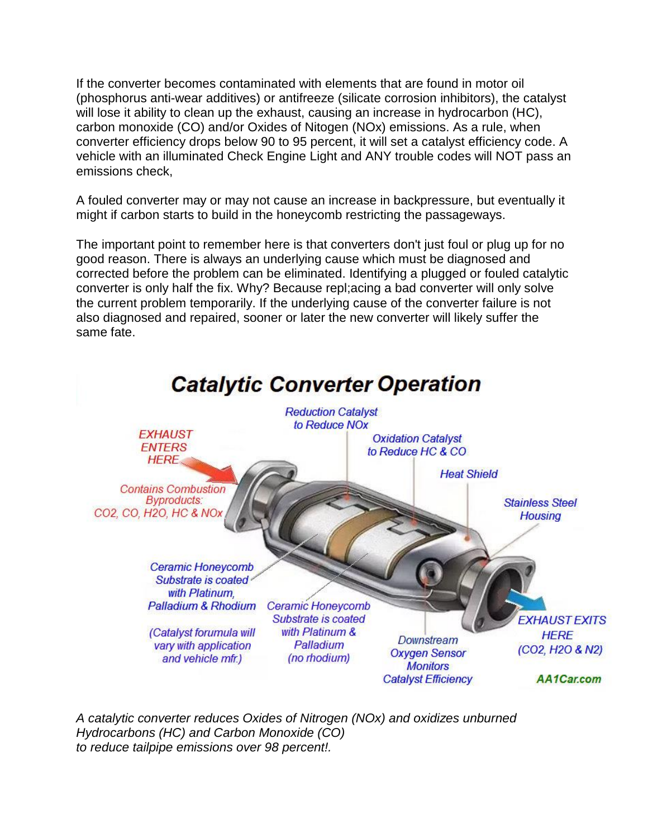If the converter becomes contaminated with elements that are found in motor oil (phosphorus anti-wear additives) or antifreeze (silicate corrosion inhibitors), the catalyst will lose it ability to clean up the exhaust, causing an increase in hydrocarbon (HC), carbon monoxide (CO) and/or Oxides of Nitogen (NOx) emissions. As a rule, when converter efficiency drops below 90 to 95 percent, it will set a catalyst efficiency code. A vehicle with an illuminated Check Engine Light and ANY trouble codes will NOT pass an emissions check,

A fouled converter may or may not cause an increase in backpressure, but eventually it might if carbon starts to build in the honeycomb restricting the passageways.

The important point to remember here is that converters don't just foul or plug up for no good reason. There is always an underlying cause which must be diagnosed and corrected before the problem can be eliminated. Identifying a plugged or fouled catalytic converter is only half the fix. Why? Because repl;acing a bad converter will only solve the current problem temporarily. If the underlying cause of the converter failure is not also diagnosed and repaired, sooner or later the new converter will likely suffer the same fate.



*A catalytic converter reduces Oxides of Nitrogen (NOx) and oxidizes unburned Hydrocarbons (HC) and Carbon Monoxide (CO) to reduce tailpipe emissions over 98 percent!.*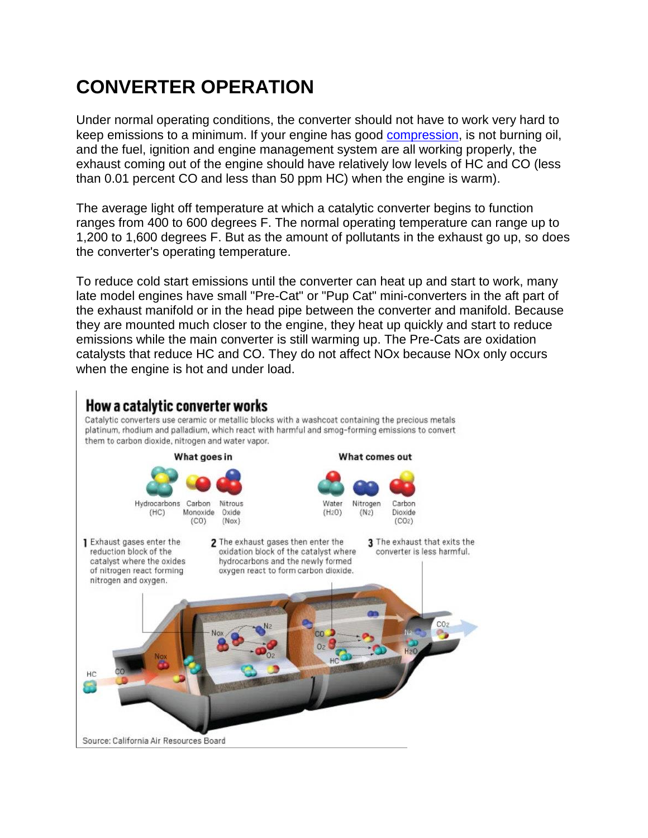## **CONVERTER OPERATION**

Under normal operating conditions, the converter should not have to work very hard to keep emissions to a minimum. If your engine has good [compression,](http://www.aa1car.com/library/compression.htm) is not burning oil, and the fuel, ignition and engine management system are all working properly, the exhaust coming out of the engine should have relatively low levels of HC and CO (less than 0.01 percent CO and less than 50 ppm HC) when the engine is warm).

The average light off temperature at which a catalytic converter begins to function ranges from 400 to 600 degrees F. The normal operating temperature can range up to 1,200 to 1,600 degrees F. But as the amount of pollutants in the exhaust go up, so does the converter's operating temperature.

To reduce cold start emissions until the converter can heat up and start to work, many late model engines have small "Pre-Cat" or "Pup Cat" mini-converters in the aft part of the exhaust manifold or in the head pipe between the converter and manifold. Because they are mounted much closer to the engine, they heat up quickly and start to reduce emissions while the main converter is still warming up. The Pre-Cats are oxidation catalysts that reduce HC and CO. They do not affect NOx because NOx only occurs when the engine is hot and under load.

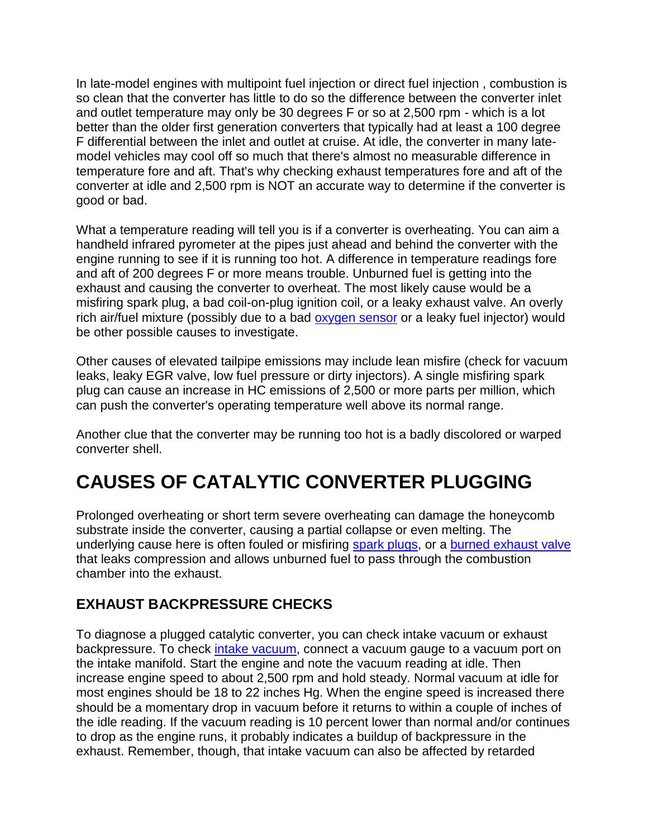In late-model engines with multipoint fuel injection or direct fuel injection , combustion is so clean that the converter has little to do so the difference between the converter inlet and outlet temperature may only be 30 degrees F or so at 2,500 rpm - which is a lot better than the older first generation converters that typically had at least a 100 degree F differential between the inlet and outlet at cruise. At idle, the converter in many latemodel vehicles may cool off so much that there's almost no measurable difference in temperature fore and aft. That's why checking exhaust temperatures fore and aft of the converter at idle and 2,500 rpm is NOT an accurate way to determine if the converter is good or bad.

What a temperature reading will tell you is if a converter is overheating. You can aim a handheld infrared pyrometer at the pipes just ahead and behind the converter with the engine running to see if it is running too hot. A difference in temperature readings fore and aft of 200 degrees F or more means trouble. Unburned fuel is getting into the exhaust and causing the converter to overheat. The most likely cause would be a misfiring spark plug, a bad coil-on-plug ignition coil, or a leaky exhaust valve. An overly rich air/fuel mixture (possibly due to a bad [oxygen sensor](http://www.aa1car.com/library/o2sensor.htm) or a leaky fuel injector) would be other possible causes to investigate.

Other causes of elevated tailpipe emissions may include lean misfire (check for vacuum leaks, leaky EGR valve, low fuel pressure or dirty injectors). A single misfiring spark plug can cause an increase in HC emissions of 2,500 or more parts per million, which can push the converter's operating temperature well above its normal range.

Another clue that the converter may be running too hot is a badly discolored or warped converter shell.

### **CAUSES OF CATALYTIC CONVERTER PLUGGING**

Prolonged overheating or short term severe overheating can damage the honeycomb substrate inside the converter, causing a partial collapse or even melting. The underlying cause here is often fouled or misfiring [spark plugs,](http://www.aa1car.com/library/2004/us30428.htm) or a [burned exhaust valve](http://www.aa1car.com/library/ar1192.htm)  that leaks compression and allows unburned fuel to pass through the combustion chamber into the exhaust.

#### **EXHAUST BACKPRESSURE CHECKS**

To diagnose a plugged catalytic converter, you can check intake vacuum or exhaust backpressure. To check [intake vacuum,](http://www.aa1car.com/library/vacleak.htm) connect a vacuum gauge to a vacuum port on the intake manifold. Start the engine and note the vacuum reading at idle. Then increase engine speed to about 2,500 rpm and hold steady. Normal vacuum at idle for most engines should be 18 to 22 inches Hg. When the engine speed is increased there should be a momentary drop in vacuum before it returns to within a couple of inches of the idle reading. If the vacuum reading is 10 percent lower than normal and/or continues to drop as the engine runs, it probably indicates a buildup of backpressure in the exhaust. Remember, though, that intake vacuum can also be affected by retarded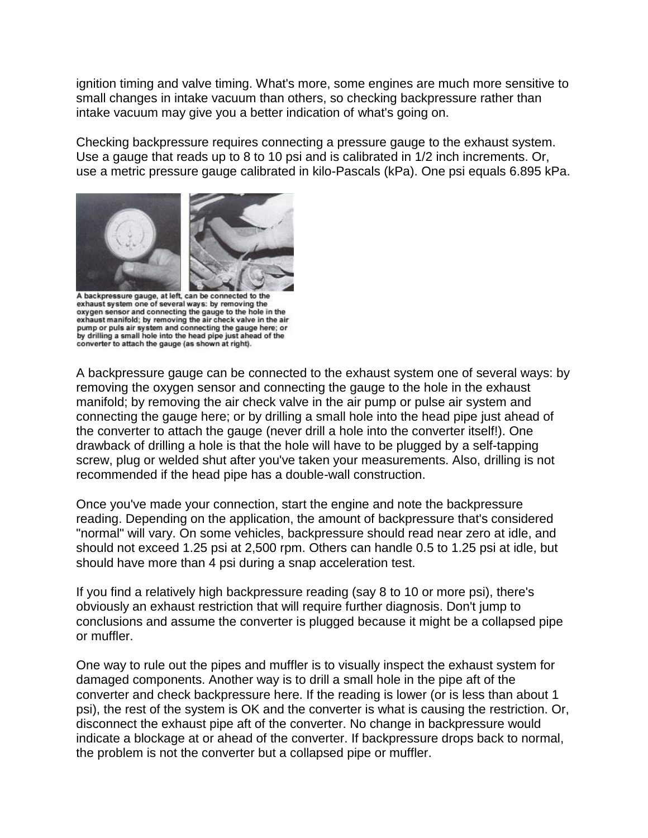ignition timing and valve timing. What's more, some engines are much more sensitive to small changes in intake vacuum than others, so checking backpressure rather than intake vacuum may give you a better indication of what's going on.

Checking backpressure requires connecting a pressure gauge to the exhaust system. Use a gauge that reads up to 8 to 10 psi and is calibrated in 1/2 inch increments. Or, use a metric pressure gauge calibrated in kilo-Pascals (kPa). One psi equals 6.895 kPa.



A backpressure gauge, at left, can be connected to the exhaust system one of several ways: by removing the oxygen sensor and connecting the gauge to the hole in the exhaust manifold; by removing the air check valve in the air<br>pump or puls air system and connecting the gauge here; or by drilling a small hole into the head pipe just ahead of the converter to attach the gauge (as shown at right).

A backpressure gauge can be connected to the exhaust system one of several ways: by removing the oxygen sensor and connecting the gauge to the hole in the exhaust manifold; by removing the air check valve in the air pump or pulse air system and connecting the gauge here; or by drilling a small hole into the head pipe just ahead of the converter to attach the gauge (never drill a hole into the converter itself!). One drawback of drilling a hole is that the hole will have to be plugged by a self-tapping screw, plug or welded shut after you've taken your measurements. Also, drilling is not recommended if the head pipe has a double-wall construction.

Once you've made your connection, start the engine and note the backpressure reading. Depending on the application, the amount of backpressure that's considered "normal" will vary. On some vehicles, backpressure should read near zero at idle, and should not exceed 1.25 psi at 2,500 rpm. Others can handle 0.5 to 1.25 psi at idle, but should have more than 4 psi during a snap acceleration test.

If you find a relatively high backpressure reading (say 8 to 10 or more psi), there's obviously an exhaust restriction that will require further diagnosis. Don't jump to conclusions and assume the converter is plugged because it might be a collapsed pipe or muffler.

One way to rule out the pipes and muffler is to visually inspect the exhaust system for damaged components. Another way is to drill a small hole in the pipe aft of the converter and check backpressure here. If the reading is lower (or is less than about 1 psi), the rest of the system is OK and the converter is what is causing the restriction. Or, disconnect the exhaust pipe aft of the converter. No change in backpressure would indicate a blockage at or ahead of the converter. If backpressure drops back to normal, the problem is not the converter but a collapsed pipe or muffler.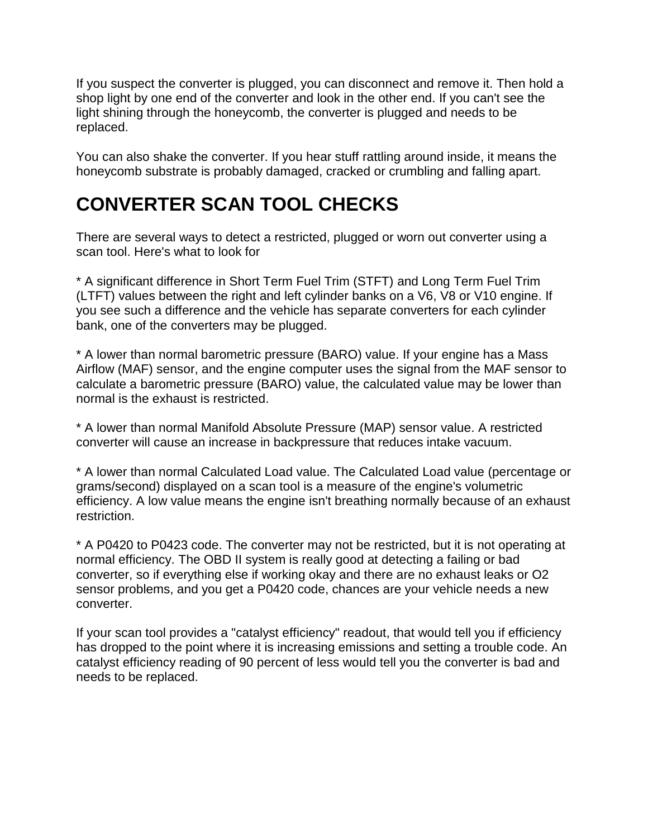If you suspect the converter is plugged, you can disconnect and remove it. Then hold a shop light by one end of the converter and look in the other end. If you can't see the light shining through the honeycomb, the converter is plugged and needs to be replaced.

You can also shake the converter. If you hear stuff rattling around inside, it means the honeycomb substrate is probably damaged, cracked or crumbling and falling apart.

### **CONVERTER SCAN TOOL CHECKS**

There are several ways to detect a restricted, plugged or worn out converter using a scan tool. Here's what to look for

\* A significant difference in Short Term Fuel Trim (STFT) and Long Term Fuel Trim (LTFT) values between the right and left cylinder banks on a V6, V8 or V10 engine. If you see such a difference and the vehicle has separate converters for each cylinder bank, one of the converters may be plugged.

\* A lower than normal barometric pressure (BARO) value. If your engine has a Mass Airflow (MAF) sensor, and the engine computer uses the signal from the MAF sensor to calculate a barometric pressure (BARO) value, the calculated value may be lower than normal is the exhaust is restricted.

\* A lower than normal Manifold Absolute Pressure (MAP) sensor value. A restricted converter will cause an increase in backpressure that reduces intake vacuum.

\* A lower than normal Calculated Load value. The Calculated Load value (percentage or grams/second) displayed on a scan tool is a measure of the engine's volumetric efficiency. A low value means the engine isn't breathing normally because of an exhaust restriction.

\* A P0420 to P0423 code. The converter may not be restricted, but it is not operating at normal efficiency. The OBD II system is really good at detecting a failing or bad converter, so if everything else if working okay and there are no exhaust leaks or O2 sensor problems, and you get a P0420 code, chances are your vehicle needs a new converter.

If your scan tool provides a "catalyst efficiency" readout, that would tell you if efficiency has dropped to the point where it is increasing emissions and setting a trouble code. An catalyst efficiency reading of 90 percent of less would tell you the converter is bad and needs to be replaced.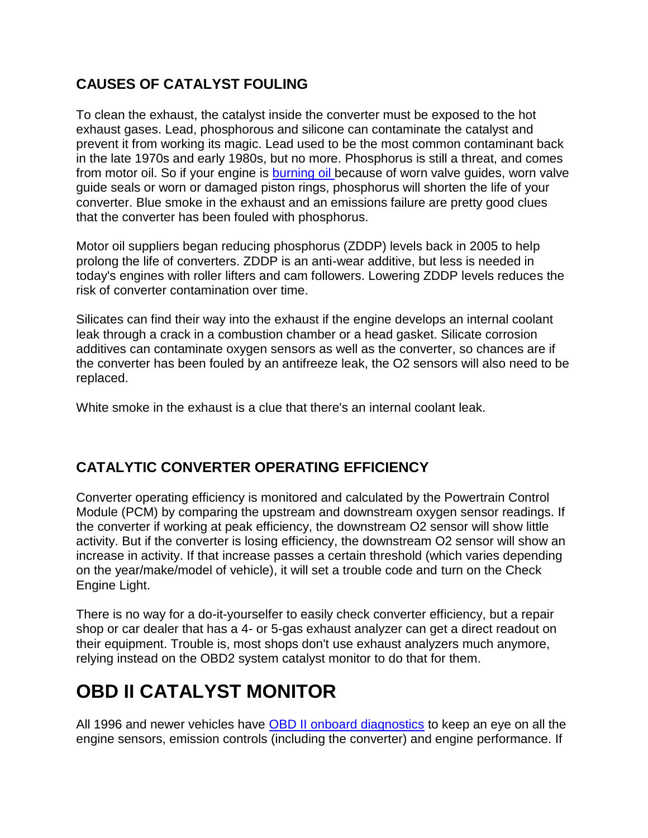#### **CAUSES OF CATALYST FOULING**

To clean the exhaust, the catalyst inside the converter must be exposed to the hot exhaust gases. Lead, phosphorous and silicone can contaminate the catalyst and prevent it from working its magic. Lead used to be the most common contaminant back in the late 1970s and early 1980s, but no more. Phosphorus is still a threat, and comes from motor oil. So if your engine is **burning oil** because of worn valve guides, worn valve guide seals or worn or damaged piston rings, phosphorus will shorten the life of your converter. Blue smoke in the exhaust and an emissions failure are pretty good clues that the converter has been fouled with phosphorus.

Motor oil suppliers began reducing phosphorus (ZDDP) levels back in 2005 to help prolong the life of converters. ZDDP is an anti-wear additive, but less is needed in today's engines with roller lifters and cam followers. Lowering ZDDP levels reduces the risk of converter contamination over time.

Silicates can find their way into the exhaust if the engine develops an internal coolant leak through a crack in a combustion chamber or a head gasket. Silicate corrosion additives can contaminate oxygen sensors as well as the converter, so chances are if the converter has been fouled by an antifreeze leak, the O2 sensors will also need to be replaced.

White smoke in the exhaust is a clue that there's an internal coolant leak.

#### **CATALYTIC CONVERTER OPERATING EFFICIENCY**

Converter operating efficiency is monitored and calculated by the Powertrain Control Module (PCM) by comparing the upstream and downstream oxygen sensor readings. If the converter if working at peak efficiency, the downstream O2 sensor will show little activity. But if the converter is losing efficiency, the downstream O2 sensor will show an increase in activity. If that increase passes a certain threshold (which varies depending on the year/make/model of vehicle), it will set a trouble code and turn on the Check Engine Light.

There is no way for a do-it-yourselfer to easily check converter efficiency, but a repair shop or car dealer that has a 4- or 5-gas exhaust analyzer can get a direct readout on their equipment. Trouble is, most shops don't use exhaust analyzers much anymore, relying instead on the OBD2 system catalyst monitor to do that for them.

### **OBD II CATALYST MONITOR**

All 1996 and newer vehicles have [OBD II onboard diagnostics](http://www.aa1car.com/library/ic50234.htm) to keep an eye on all the engine sensors, emission controls (including the converter) and engine performance. If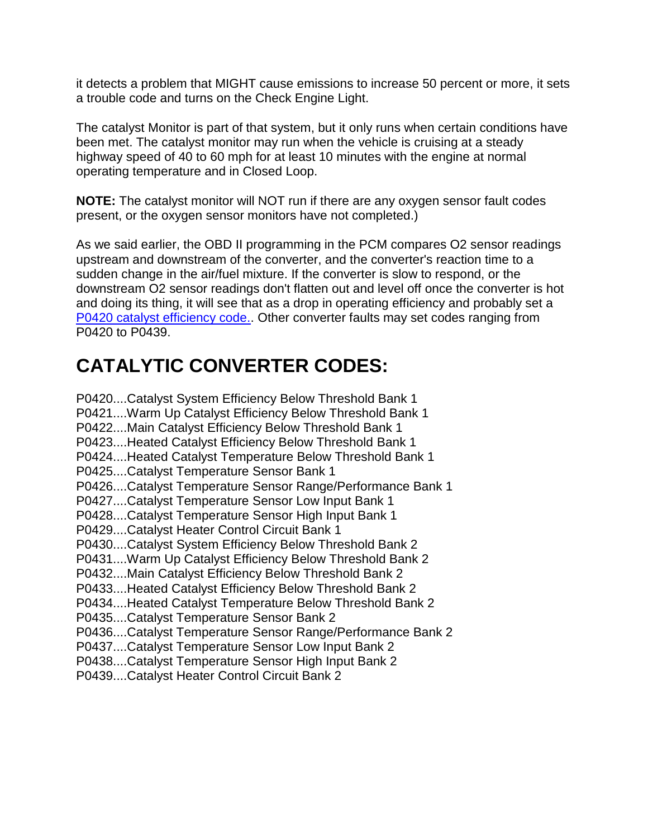it detects a problem that MIGHT cause emissions to increase 50 percent or more, it sets a trouble code and turns on the Check Engine Light.

The catalyst Monitor is part of that system, but it only runs when certain conditions have been met. The catalyst monitor may run when the vehicle is cruising at a steady highway speed of 40 to 60 mph for at least 10 minutes with the engine at normal operating temperature and in Closed Loop.

**NOTE:** The catalyst monitor will NOT run if there are any oxygen sensor fault codes present, or the oxygen sensor monitors have not completed.)

As we said earlier, the OBD II programming in the PCM compares O2 sensor readings upstream and downstream of the converter, and the converter's reaction time to a sudden change in the air/fuel mixture. If the converter is slow to respond, or the downstream O2 sensor readings don't flatten out and level off once the converter is hot and doing its thing, it will see that as a drop in operating efficiency and probably set a [P0420 catalyst efficiency code..](http://www.aa1car.com/library/p0420_dtc.htm) Other converter faults may set codes ranging from P0420 to P0439.

### **CATALYTIC CONVERTER CODES:**

P0420....Catalyst System Efficiency Below Threshold Bank 1 P0421....Warm Up Catalyst Efficiency Below Threshold Bank 1 P0422....Main Catalyst Efficiency Below Threshold Bank 1 P0423....Heated Catalyst Efficiency Below Threshold Bank 1 P0424....Heated Catalyst Temperature Below Threshold Bank 1 P0425....Catalyst Temperature Sensor Bank 1 P0426....Catalyst Temperature Sensor Range/Performance Bank 1 P0427....Catalyst Temperature Sensor Low Input Bank 1 P0428....Catalyst Temperature Sensor High Input Bank 1 P0429....Catalyst Heater Control Circuit Bank 1 P0430....Catalyst System Efficiency Below Threshold Bank 2 P0431....Warm Up Catalyst Efficiency Below Threshold Bank 2 P0432....Main Catalyst Efficiency Below Threshold Bank 2 P0433....Heated Catalyst Efficiency Below Threshold Bank 2 P0434....Heated Catalyst Temperature Below Threshold Bank 2 P0435....Catalyst Temperature Sensor Bank 2 P0436....Catalyst Temperature Sensor Range/Performance Bank 2 P0437....Catalyst Temperature Sensor Low Input Bank 2 P0438....Catalyst Temperature Sensor High Input Bank 2 P0439....Catalyst Heater Control Circuit Bank 2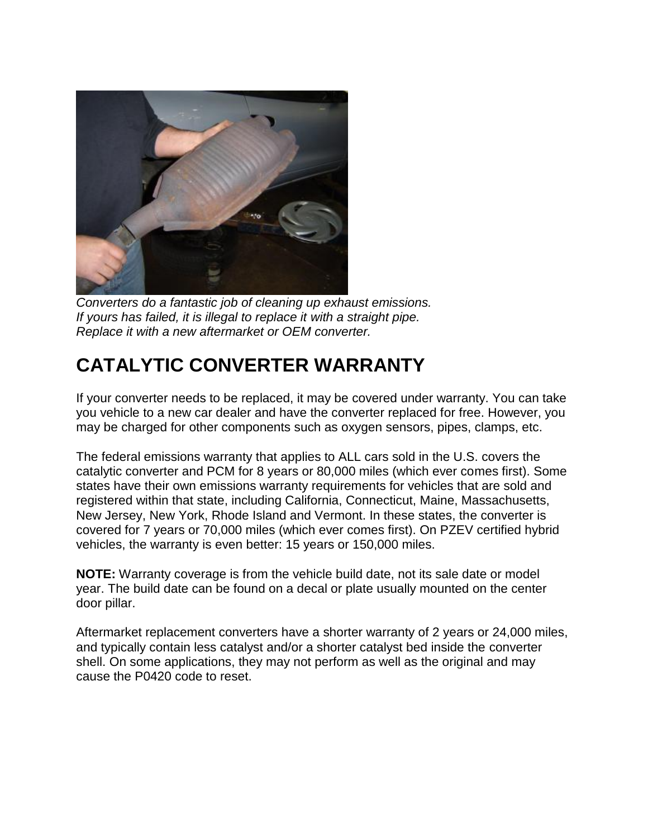

*Converters do a fantastic job of cleaning up exhaust emissions. If yours has failed, it is illegal to replace it with a straight pipe. Replace it with a new aftermarket or OEM converter.*

## **CATALYTIC CONVERTER WARRANTY**

If your converter needs to be replaced, it may be covered under warranty. You can take you vehicle to a new car dealer and have the converter replaced for free. However, you may be charged for other components such as oxygen sensors, pipes, clamps, etc.

The federal emissions warranty that applies to ALL cars sold in the U.S. covers the catalytic converter and PCM for 8 years or 80,000 miles (which ever comes first). Some states have their own emissions warranty requirements for vehicles that are sold and registered within that state, including California, Connecticut, Maine, Massachusetts, New Jersey, New York, Rhode Island and Vermont. In these states, the converter is covered for 7 years or 70,000 miles (which ever comes first). On PZEV certified hybrid vehicles, the warranty is even better: 15 years or 150,000 miles.

**NOTE:** Warranty coverage is from the vehicle build date, not its sale date or model year. The build date can be found on a decal or plate usually mounted on the center door pillar.

Aftermarket replacement converters have a shorter warranty of 2 years or 24,000 miles, and typically contain less catalyst and/or a shorter catalyst bed inside the converter shell. On some applications, they may not perform as well as the original and may cause the P0420 code to reset.